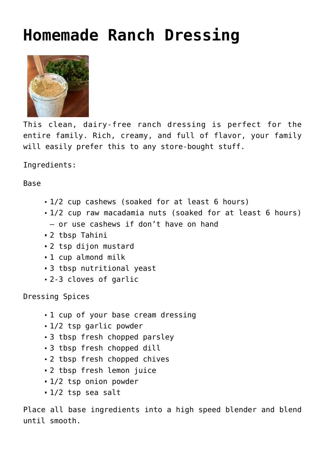## **[Homemade Ranch Dressing](http://nourishedmum.com/recipes/homemade-ranch-dressing/)**



This clean, dairy-free ranch dressing is perfect for the entire family. Rich, creamy, and full of flavor, your family will easily prefer this to any store-bought stuff.

Ingredients:

Base

- 1/2 cup cashews (soaked for at least 6 hours)
- 1/2 cup raw macadamia nuts (soaked for at least 6 hours) – or use cashews if don't have on hand
- 2 tbsp Tahini
- 2 tsp dijon mustard
- 1 cup almond milk
- 3 tbsp nutritional yeast
- 2-3 cloves of garlic

Dressing Spices

- $-1$  cup of your base cream dressing
- 1/2 tsp garlic powder
- 3 tbsp fresh chopped parsley
- 3 tbsp fresh chopped dill
- 2 tbsp fresh chopped chives
- 2 tbsp fresh lemon juice
- 1/2 tsp onion powder
- 1/2 tsp sea salt

Place all base ingredients into a high speed blender and blend until smooth.